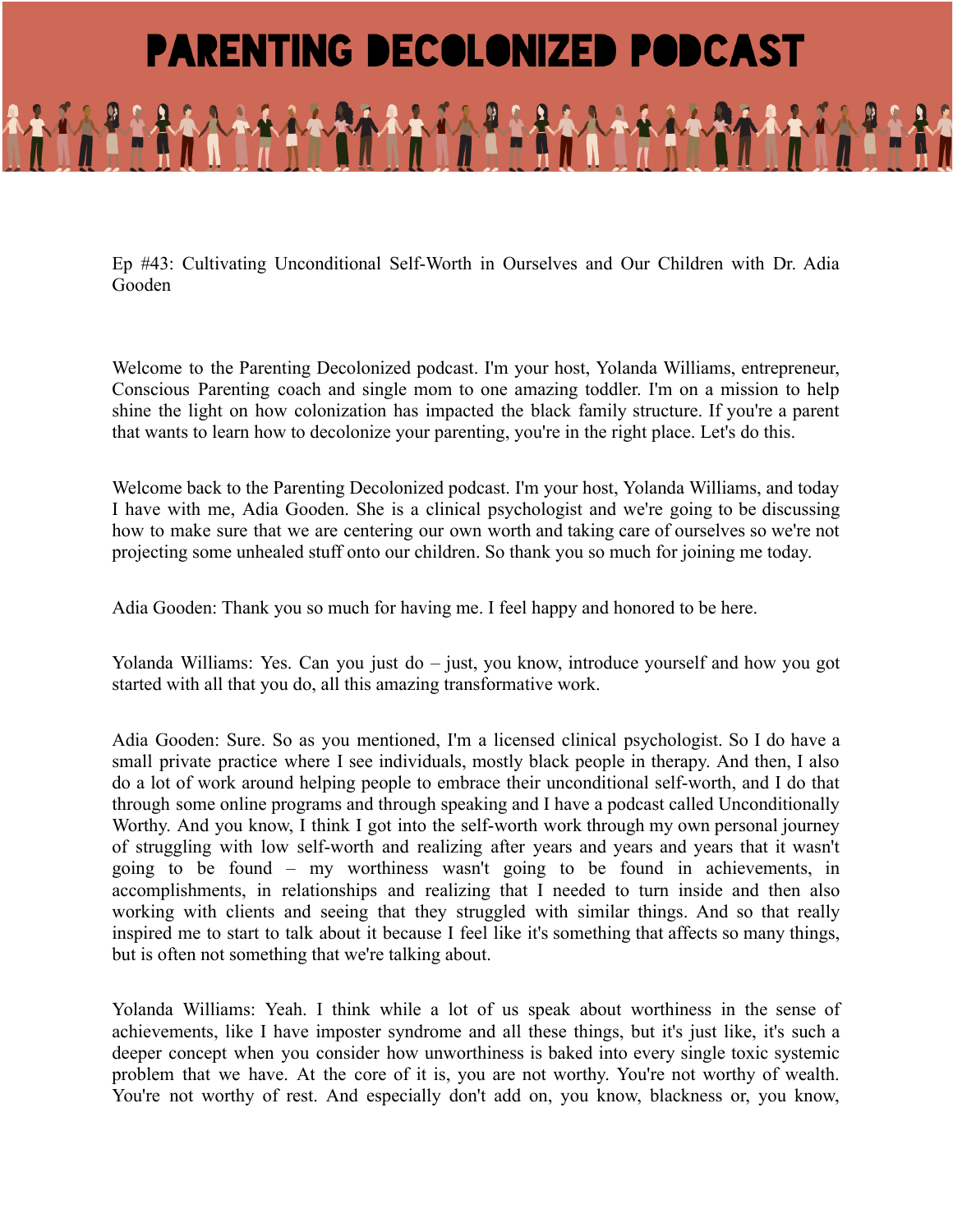## **PARENTING DECOLONIZED PODCAST**

Ep #43: Cultivating Unconditional Self-Worth in Ourselves and Our Children with Dr. Adia Gooden

Welcome to the Parenting Decolonized podcast. I'm your host, Yolanda Williams, entrepreneur, Conscious Parenting coach and single mom to one amazing toddler. I'm on a mission to help shine the light on how colonization has impacted the black family structure. If you're a parent that wants to learn how to decolonize your parenting, you're in the right place. Let's do this.

Welcome back to the Parenting Decolonized podcast. I'm your host, Yolanda Williams, and today I have with me, Adia Gooden. She is a clinical psychologist and we're going to be discussing how to make sure that we are centering our own worth and taking care of ourselves so we're not projecting some unhealed stuff onto our children. So thank you so much for joining me today.

Adia Gooden: Thank you so much for having me. I feel happy and honored to be here.

Yolanda Williams: Yes. Can you just do – just, you know, introduce yourself and how you got started with all that you do, all this amazing transformative work.

Adia Gooden: Sure. So as you mentioned, I'm a licensed clinical psychologist. So I do have a small private practice where I see individuals, mostly black people in therapy. And then, I also do a lot of work around helping people to embrace their unconditional self-worth, and I do that through some online programs and through speaking and I have a podcast called Unconditionally Worthy. And you know, I think I got into the self-worth work through my own personal journey of struggling with low self-worth and realizing after years and years and years that it wasn't going to be found – my worthiness wasn't going to be found in achievements, in accomplishments, in relationships and realizing that I needed to turn inside and then also working with clients and seeing that they struggled with similar things. And so that really inspired me to start to talk about it because I feel like it's something that affects so many things, but is often not something that we're talking about.

Yolanda Williams: Yeah. I think while a lot of us speak about worthiness in the sense of achievements, like I have imposter syndrome and all these things, but it's just like, it's such a deeper concept when you consider how unworthiness is baked into every single toxic systemic problem that we have. At the core of it is, you are not worthy. You're not worthy of wealth. You're not worthy of rest. And especially don't add on, you know, blackness or, you know,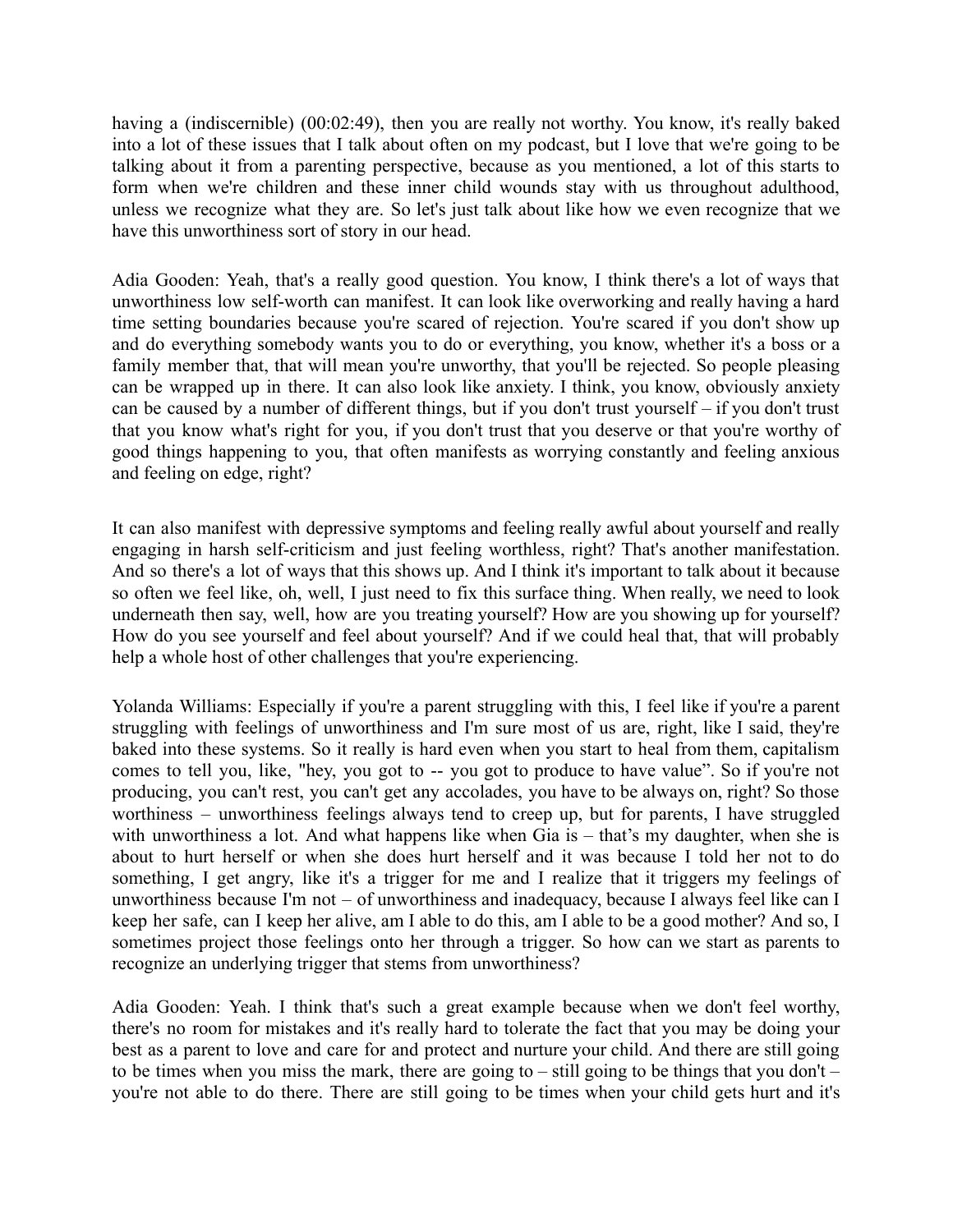having a (indiscernible) (00:02:49), then you are really not worthy. You know, it's really baked into a lot of these issues that I talk about often on my podcast, but I love that we're going to be talking about it from a parenting perspective, because as you mentioned, a lot of this starts to form when we're children and these inner child wounds stay with us throughout adulthood, unless we recognize what they are. So let's just talk about like how we even recognize that we have this unworthiness sort of story in our head.

Adia Gooden: Yeah, that's a really good question. You know, I think there's a lot of ways that unworthiness low self-worth can manifest. It can look like overworking and really having a hard time setting boundaries because you're scared of rejection. You're scared if you don't show up and do everything somebody wants you to do or everything, you know, whether it's a boss or a family member that, that will mean you're unworthy, that you'll be rejected. So people pleasing can be wrapped up in there. It can also look like anxiety. I think, you know, obviously anxiety can be caused by a number of different things, but if you don't trust yourself – if you don't trust that you know what's right for you, if you don't trust that you deserve or that you're worthy of good things happening to you, that often manifests as worrying constantly and feeling anxious and feeling on edge, right?

It can also manifest with depressive symptoms and feeling really awful about yourself and really engaging in harsh self-criticism and just feeling worthless, right? That's another manifestation. And so there's a lot of ways that this shows up. And I think it's important to talk about it because so often we feel like, oh, well, I just need to fix this surface thing. When really, we need to look underneath then say, well, how are you treating yourself? How are you showing up for yourself? How do you see yourself and feel about yourself? And if we could heal that, that will probably help a whole host of other challenges that you're experiencing.

Yolanda Williams: Especially if you're a parent struggling with this, I feel like if you're a parent struggling with feelings of unworthiness and I'm sure most of us are, right, like I said, they're baked into these systems. So it really is hard even when you start to heal from them, capitalism comes to tell you, like, "hey, you got to -- you got to produce to have value". So if you're not producing, you can't rest, you can't get any accolades, you have to be always on, right? So those worthiness – unworthiness feelings always tend to creep up, but for parents, I have struggled with unworthiness a lot. And what happens like when Gia is – that's my daughter, when she is about to hurt herself or when she does hurt herself and it was because I told her not to do something, I get angry, like it's a trigger for me and I realize that it triggers my feelings of unworthiness because I'm not – of unworthiness and inadequacy, because I always feel like can I keep her safe, can I keep her alive, am I able to do this, am I able to be a good mother? And so, I sometimes project those feelings onto her through a trigger. So how can we start as parents to recognize an underlying trigger that stems from unworthiness?

Adia Gooden: Yeah. I think that's such a great example because when we don't feel worthy, there's no room for mistakes and it's really hard to tolerate the fact that you may be doing your best as a parent to love and care for and protect and nurture your child. And there are still going to be times when you miss the mark, there are going to – still going to be things that you don't – you're not able to do there. There are still going to be times when your child gets hurt and it's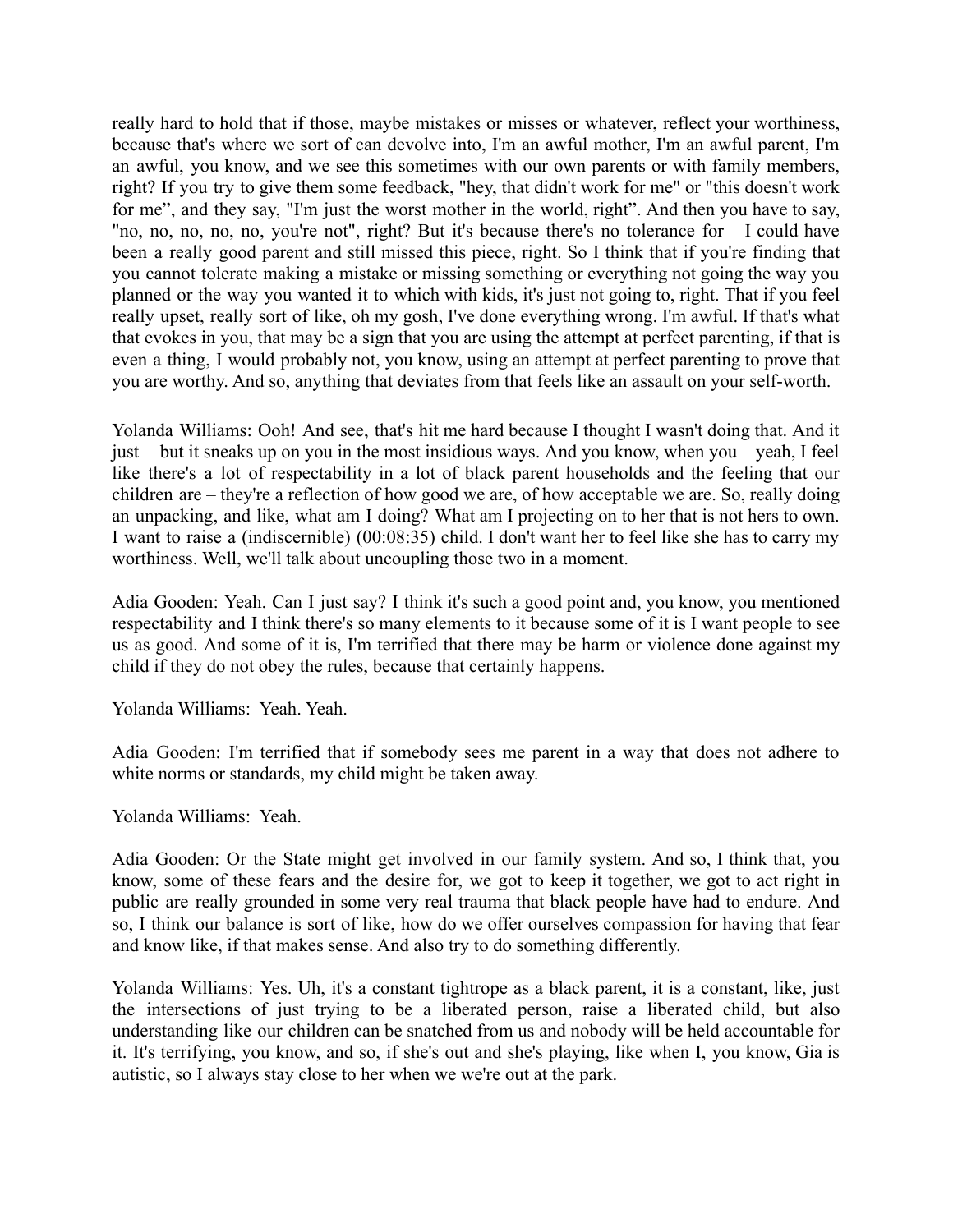really hard to hold that if those, maybe mistakes or misses or whatever, reflect your worthiness, because that's where we sort of can devolve into, I'm an awful mother, I'm an awful parent, I'm an awful, you know, and we see this sometimes with our own parents or with family members, right? If you try to give them some feedback, "hey, that didn't work for me" or "this doesn't work for me", and they say, "I'm just the worst mother in the world, right". And then you have to say, "no, no, no, no, no, you're not", right? But it's because there's no tolerance for  $-1$  could have been a really good parent and still missed this piece, right. So I think that if you're finding that you cannot tolerate making a mistake or missing something or everything not going the way you planned or the way you wanted it to which with kids, it's just not going to, right. That if you feel really upset, really sort of like, oh my gosh, I've done everything wrong. I'm awful. If that's what that evokes in you, that may be a sign that you are using the attempt at perfect parenting, if that is even a thing, I would probably not, you know, using an attempt at perfect parenting to prove that you are worthy. And so, anything that deviates from that feels like an assault on your self-worth.

Yolanda Williams: Ooh! And see, that's hit me hard because I thought I wasn't doing that. And it just – but it sneaks up on you in the most insidious ways. And you know, when you – yeah, I feel like there's a lot of respectability in a lot of black parent households and the feeling that our children are – they're a reflection of how good we are, of how acceptable we are. So, really doing an unpacking, and like, what am I doing? What am I projecting on to her that is not hers to own. I want to raise a (indiscernible) (00:08:35) child. I don't want her to feel like she has to carry my worthiness. Well, we'll talk about uncoupling those two in a moment.

Adia Gooden: Yeah. Can I just say? I think it's such a good point and, you know, you mentioned respectability and I think there's so many elements to it because some of it is I want people to see us as good. And some of it is, I'm terrified that there may be harm or violence done against my child if they do not obey the rules, because that certainly happens.

Yolanda Williams: Yeah. Yeah.

Adia Gooden: I'm terrified that if somebody sees me parent in a way that does not adhere to white norms or standards, my child might be taken away.

Yolanda Williams: Yeah.

Adia Gooden: Or the State might get involved in our family system. And so, I think that, you know, some of these fears and the desire for, we got to keep it together, we got to act right in public are really grounded in some very real trauma that black people have had to endure. And so, I think our balance is sort of like, how do we offer ourselves compassion for having that fear and know like, if that makes sense. And also try to do something differently.

Yolanda Williams: Yes. Uh, it's a constant tightrope as a black parent, it is a constant, like, just the intersections of just trying to be a liberated person, raise a liberated child, but also understanding like our children can be snatched from us and nobody will be held accountable for it. It's terrifying, you know, and so, if she's out and she's playing, like when I, you know, Gia is autistic, so I always stay close to her when we we're out at the park.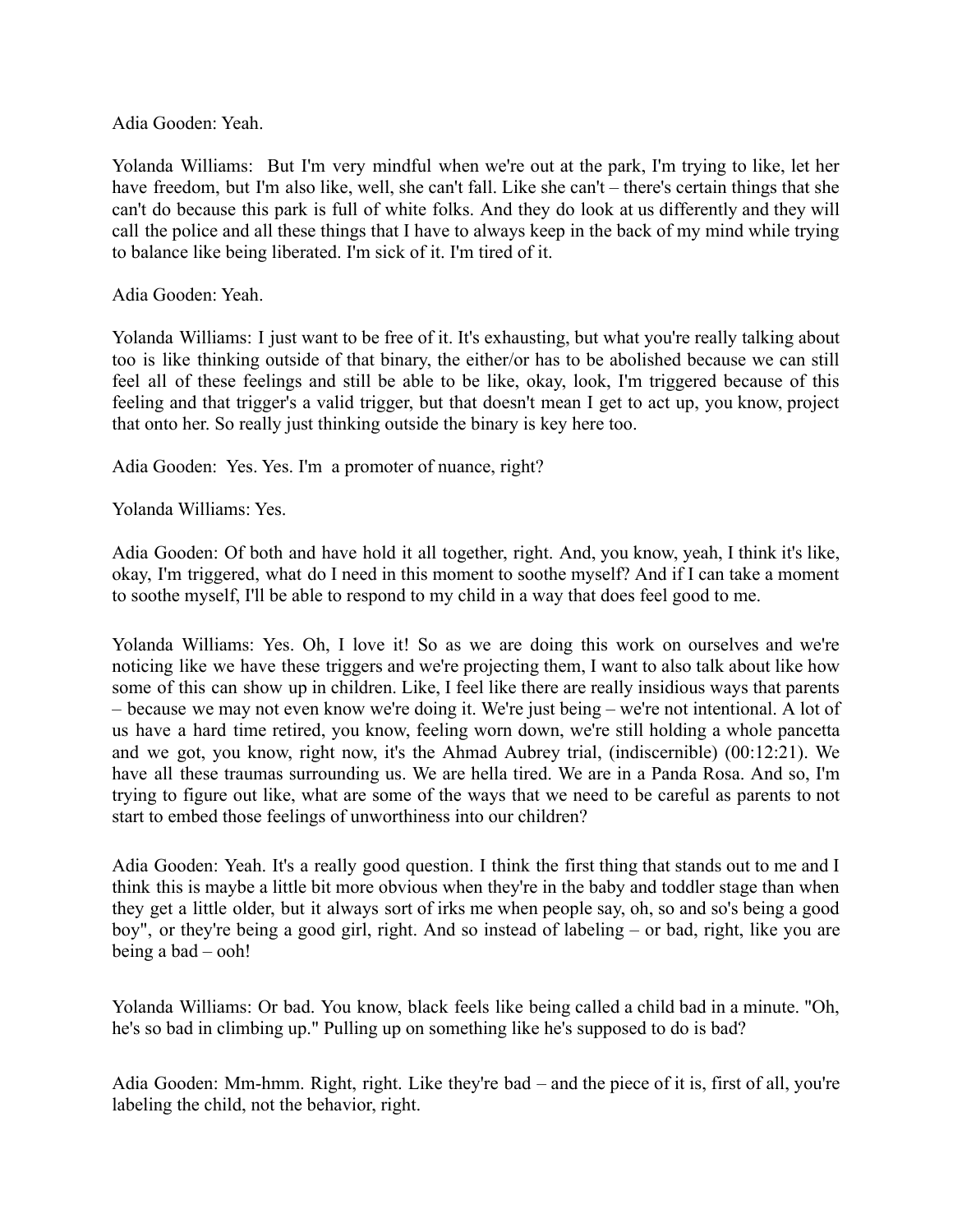Adia Gooden: Yeah.

Yolanda Williams: But I'm very mindful when we're out at the park, I'm trying to like, let her have freedom, but I'm also like, well, she can't fall. Like she can't – there's certain things that she can't do because this park is full of white folks. And they do look at us differently and they will call the police and all these things that I have to always keep in the back of my mind while trying to balance like being liberated. I'm sick of it. I'm tired of it.

Adia Gooden: Yeah.

Yolanda Williams: I just want to be free of it. It's exhausting, but what you're really talking about too is like thinking outside of that binary, the either/or has to be abolished because we can still feel all of these feelings and still be able to be like, okay, look, I'm triggered because of this feeling and that trigger's a valid trigger, but that doesn't mean I get to act up, you know, project that onto her. So really just thinking outside the binary is key here too.

Adia Gooden: Yes. Yes. I'm a promoter of nuance, right?

Yolanda Williams: Yes.

Adia Gooden: Of both and have hold it all together, right. And, you know, yeah, I think it's like, okay, I'm triggered, what do I need in this moment to soothe myself? And if I can take a moment to soothe myself, I'll be able to respond to my child in a way that does feel good to me.

Yolanda Williams: Yes. Oh, I love it! So as we are doing this work on ourselves and we're noticing like we have these triggers and we're projecting them, I want to also talk about like how some of this can show up in children. Like, I feel like there are really insidious ways that parents – because we may not even know we're doing it. We're just being – we're not intentional. A lot of us have a hard time retired, you know, feeling worn down, we're still holding a whole pancetta and we got, you know, right now, it's the Ahmad Aubrey trial, (indiscernible) (00:12:21). We have all these traumas surrounding us. We are hella tired. We are in a Panda Rosa. And so, I'm trying to figure out like, what are some of the ways that we need to be careful as parents to not start to embed those feelings of unworthiness into our children?

Adia Gooden: Yeah. It's a really good question. I think the first thing that stands out to me and I think this is maybe a little bit more obvious when they're in the baby and toddler stage than when they get a little older, but it always sort of irks me when people say, oh, so and so's being a good boy", or they're being a good girl, right. And so instead of labeling – or bad, right, like you are being a bad – ooh!

Yolanda Williams: Or bad. You know, black feels like being called a child bad in a minute. "Oh, he's so bad in climbing up." Pulling up on something like he's supposed to do is bad?

Adia Gooden: Mm-hmm. Right, right. Like they're bad – and the piece of it is, first of all, you're labeling the child, not the behavior, right.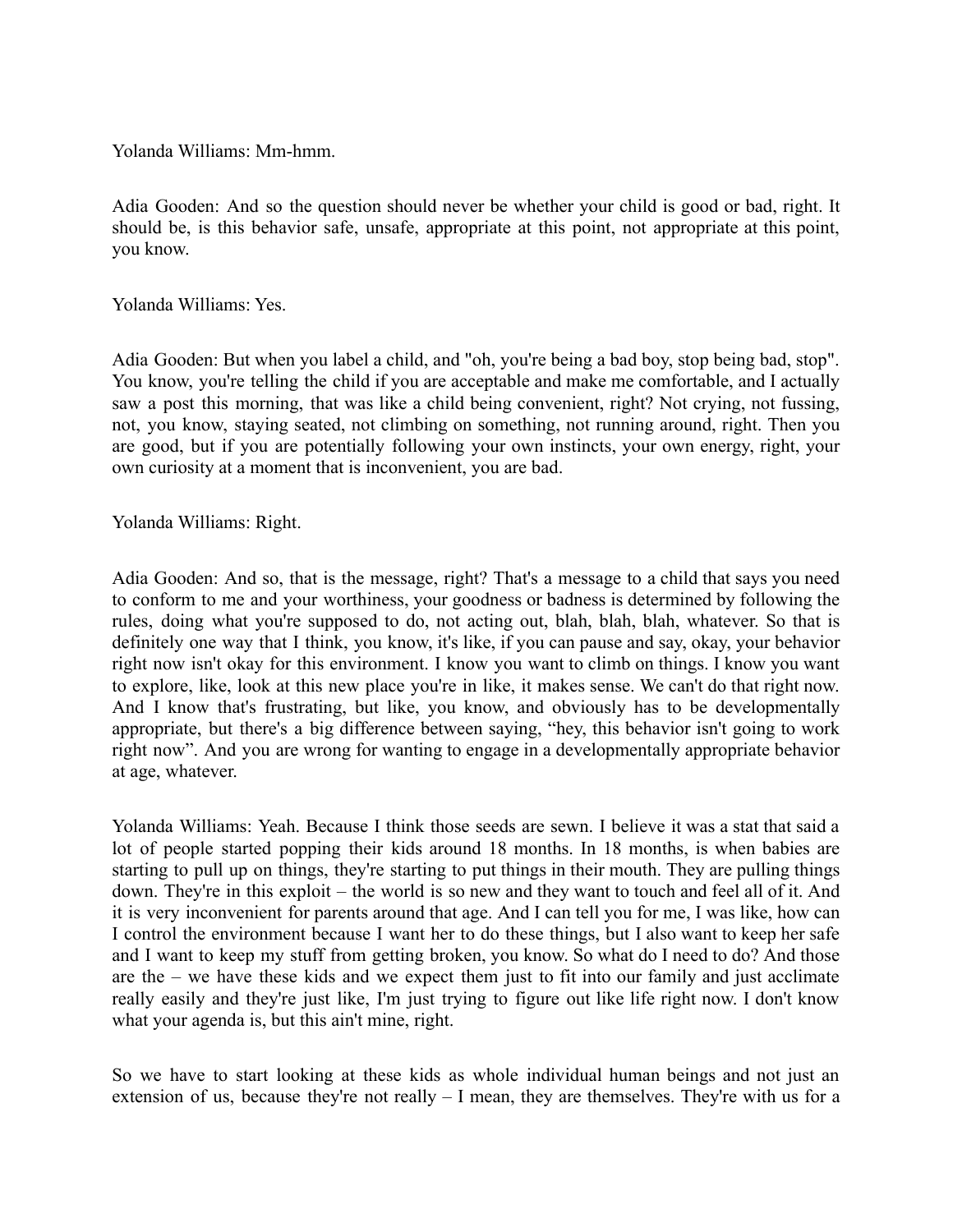Yolanda Williams: Mm-hmm.

Adia Gooden: And so the question should never be whether your child is good or bad, right. It should be, is this behavior safe, unsafe, appropriate at this point, not appropriate at this point, you know.

Yolanda Williams: Yes.

Adia Gooden: But when you label a child, and "oh, you're being a bad boy, stop being bad, stop". You know, you're telling the child if you are acceptable and make me comfortable, and I actually saw a post this morning, that was like a child being convenient, right? Not crying, not fussing, not, you know, staying seated, not climbing on something, not running around, right. Then you are good, but if you are potentially following your own instincts, your own energy, right, your own curiosity at a moment that is inconvenient, you are bad.

Yolanda Williams: Right.

Adia Gooden: And so, that is the message, right? That's a message to a child that says you need to conform to me and your worthiness, your goodness or badness is determined by following the rules, doing what you're supposed to do, not acting out, blah, blah, blah, whatever. So that is definitely one way that I think, you know, it's like, if you can pause and say, okay, your behavior right now isn't okay for this environment. I know you want to climb on things. I know you want to explore, like, look at this new place you're in like, it makes sense. We can't do that right now. And I know that's frustrating, but like, you know, and obviously has to be developmentally appropriate, but there's a big difference between saying, "hey, this behavior isn't going to work right now". And you are wrong for wanting to engage in a developmentally appropriate behavior at age, whatever.

Yolanda Williams: Yeah. Because I think those seeds are sewn. I believe it was a stat that said a lot of people started popping their kids around 18 months. In 18 months, is when babies are starting to pull up on things, they're starting to put things in their mouth. They are pulling things down. They're in this exploit – the world is so new and they want to touch and feel all of it. And it is very inconvenient for parents around that age. And I can tell you for me, I was like, how can I control the environment because I want her to do these things, but I also want to keep her safe and I want to keep my stuff from getting broken, you know. So what do I need to do? And those are the – we have these kids and we expect them just to fit into our family and just acclimate really easily and they're just like, I'm just trying to figure out like life right now. I don't know what your agenda is, but this ain't mine, right.

So we have to start looking at these kids as whole individual human beings and not just an extension of us, because they're not really – I mean, they are themselves. They're with us for a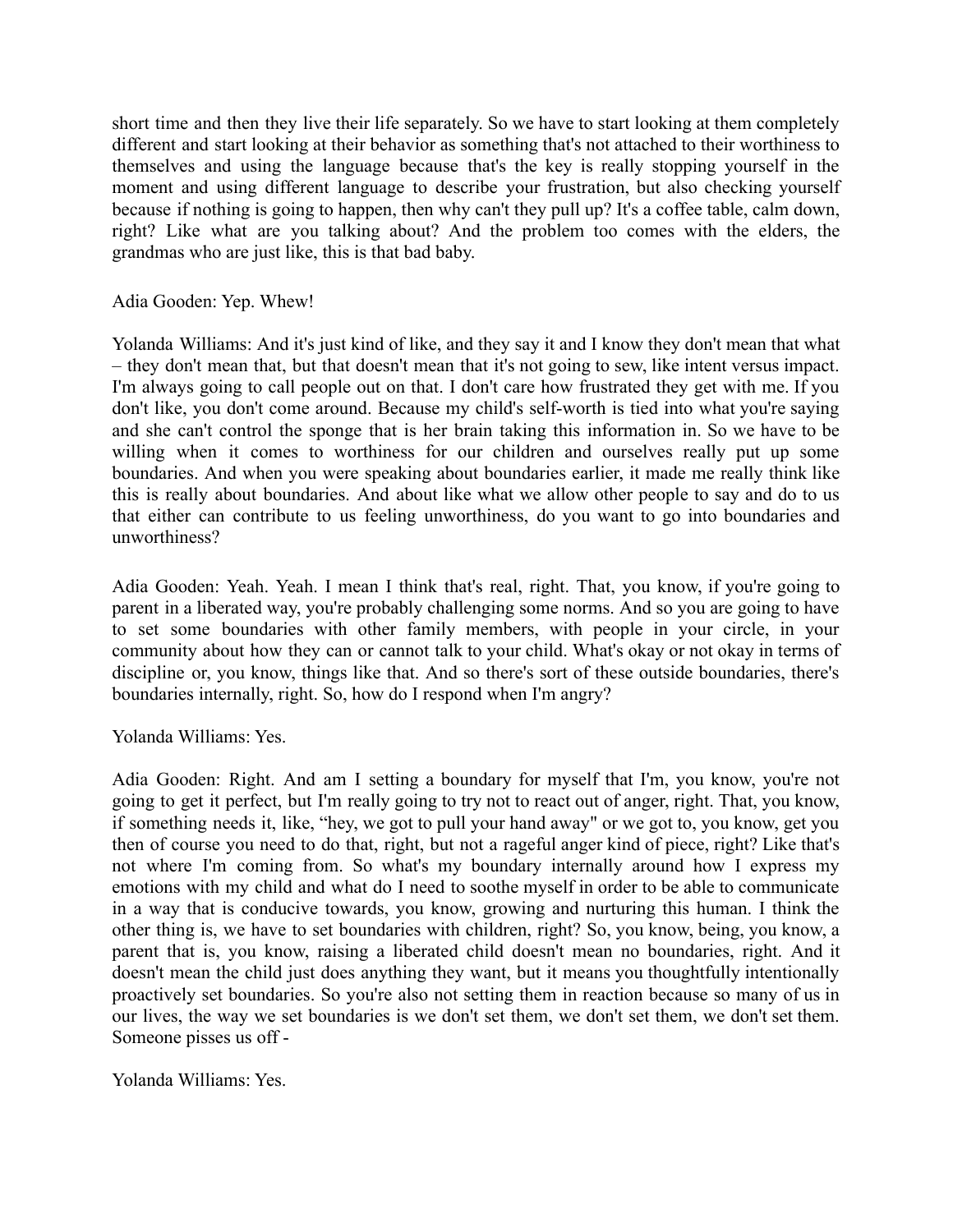short time and then they live their life separately. So we have to start looking at them completely different and start looking at their behavior as something that's not attached to their worthiness to themselves and using the language because that's the key is really stopping yourself in the moment and using different language to describe your frustration, but also checking yourself because if nothing is going to happen, then why can't they pull up? It's a coffee table, calm down, right? Like what are you talking about? And the problem too comes with the elders, the grandmas who are just like, this is that bad baby.

Adia Gooden: Yep. Whew!

Yolanda Williams: And it's just kind of like, and they say it and I know they don't mean that what – they don't mean that, but that doesn't mean that it's not going to sew, like intent versus impact. I'm always going to call people out on that. I don't care how frustrated they get with me. If you don't like, you don't come around. Because my child's self-worth is tied into what you're saying and she can't control the sponge that is her brain taking this information in. So we have to be willing when it comes to worthiness for our children and ourselves really put up some boundaries. And when you were speaking about boundaries earlier, it made me really think like this is really about boundaries. And about like what we allow other people to say and do to us that either can contribute to us feeling unworthiness, do you want to go into boundaries and unworthiness?

Adia Gooden: Yeah. Yeah. I mean I think that's real, right. That, you know, if you're going to parent in a liberated way, you're probably challenging some norms. And so you are going to have to set some boundaries with other family members, with people in your circle, in your community about how they can or cannot talk to your child. What's okay or not okay in terms of discipline or, you know, things like that. And so there's sort of these outside boundaries, there's boundaries internally, right. So, how do I respond when I'm angry?

Yolanda Williams: Yes.

Adia Gooden: Right. And am I setting a boundary for myself that I'm, you know, you're not going to get it perfect, but I'm really going to try not to react out of anger, right. That, you know, if something needs it, like, "hey, we got to pull your hand away" or we got to, you know, get you then of course you need to do that, right, but not a rageful anger kind of piece, right? Like that's not where I'm coming from. So what's my boundary internally around how I express my emotions with my child and what do I need to soothe myself in order to be able to communicate in a way that is conducive towards, you know, growing and nurturing this human. I think the other thing is, we have to set boundaries with children, right? So, you know, being, you know, a parent that is, you know, raising a liberated child doesn't mean no boundaries, right. And it doesn't mean the child just does anything they want, but it means you thoughtfully intentionally proactively set boundaries. So you're also not setting them in reaction because so many of us in our lives, the way we set boundaries is we don't set them, we don't set them, we don't set them. Someone pisses us off -

Yolanda Williams: Yes.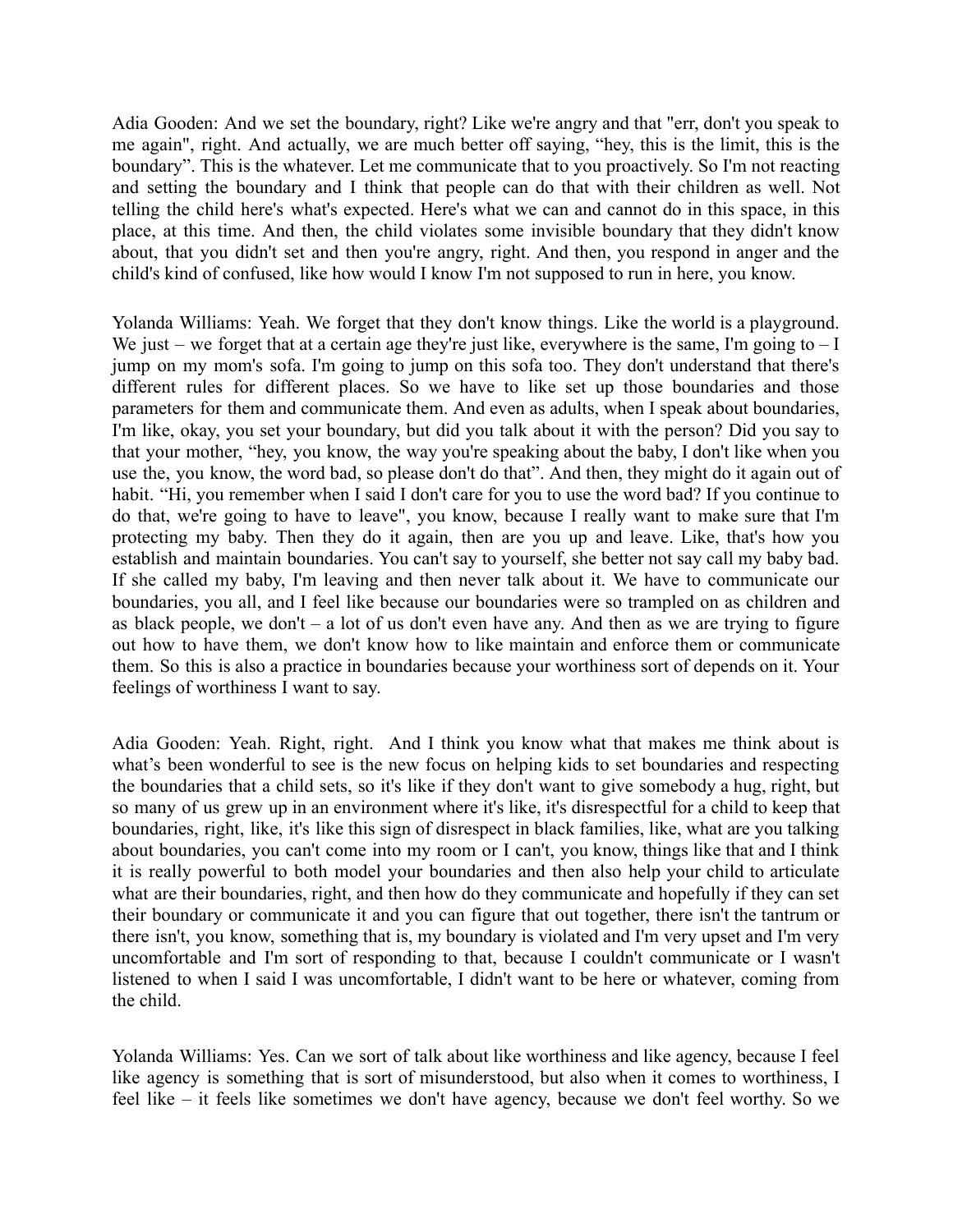Adia Gooden: And we set the boundary, right? Like we're angry and that "err, don't you speak to me again", right. And actually, we are much better off saying, "hey, this is the limit, this is the boundary". This is the whatever. Let me communicate that to you proactively. So I'm not reacting and setting the boundary and I think that people can do that with their children as well. Not telling the child here's what's expected. Here's what we can and cannot do in this space, in this place, at this time. And then, the child violates some invisible boundary that they didn't know about, that you didn't set and then you're angry, right. And then, you respond in anger and the child's kind of confused, like how would I know I'm not supposed to run in here, you know.

Yolanda Williams: Yeah. We forget that they don't know things. Like the world is a playground. We just – we forget that at a certain age they're just like, everywhere is the same, I'm going to  $-1$ jump on my mom's sofa. I'm going to jump on this sofa too. They don't understand that there's different rules for different places. So we have to like set up those boundaries and those parameters for them and communicate them. And even as adults, when I speak about boundaries, I'm like, okay, you set your boundary, but did you talk about it with the person? Did you say to that your mother, "hey, you know, the way you're speaking about the baby, I don't like when you use the, you know, the word bad, so please don't do that". And then, they might do it again out of habit. "Hi, you remember when I said I don't care for you to use the word bad? If you continue to do that, we're going to have to leave", you know, because I really want to make sure that I'm protecting my baby. Then they do it again, then are you up and leave. Like, that's how you establish and maintain boundaries. You can't say to yourself, she better not say call my baby bad. If she called my baby, I'm leaving and then never talk about it. We have to communicate our boundaries, you all, and I feel like because our boundaries were so trampled on as children and as black people, we don't  $-$  a lot of us don't even have any. And then as we are trying to figure out how to have them, we don't know how to like maintain and enforce them or communicate them. So this is also a practice in boundaries because your worthiness sort of depends on it. Your feelings of worthiness I want to say.

Adia Gooden: Yeah. Right, right. And I think you know what that makes me think about is what's been wonderful to see is the new focus on helping kids to set boundaries and respecting the boundaries that a child sets, so it's like if they don't want to give somebody a hug, right, but so many of us grew up in an environment where it's like, it's disrespectful for a child to keep that boundaries, right, like, it's like this sign of disrespect in black families, like, what are you talking about boundaries, you can't come into my room or I can't, you know, things like that and I think it is really powerful to both model your boundaries and then also help your child to articulate what are their boundaries, right, and then how do they communicate and hopefully if they can set their boundary or communicate it and you can figure that out together, there isn't the tantrum or there isn't, you know, something that is, my boundary is violated and I'm very upset and I'm very uncomfortable and I'm sort of responding to that, because I couldn't communicate or I wasn't listened to when I said I was uncomfortable, I didn't want to be here or whatever, coming from the child.

Yolanda Williams: Yes. Can we sort of talk about like worthiness and like agency, because I feel like agency is something that is sort of misunderstood, but also when it comes to worthiness, I feel like – it feels like sometimes we don't have agency, because we don't feel worthy. So we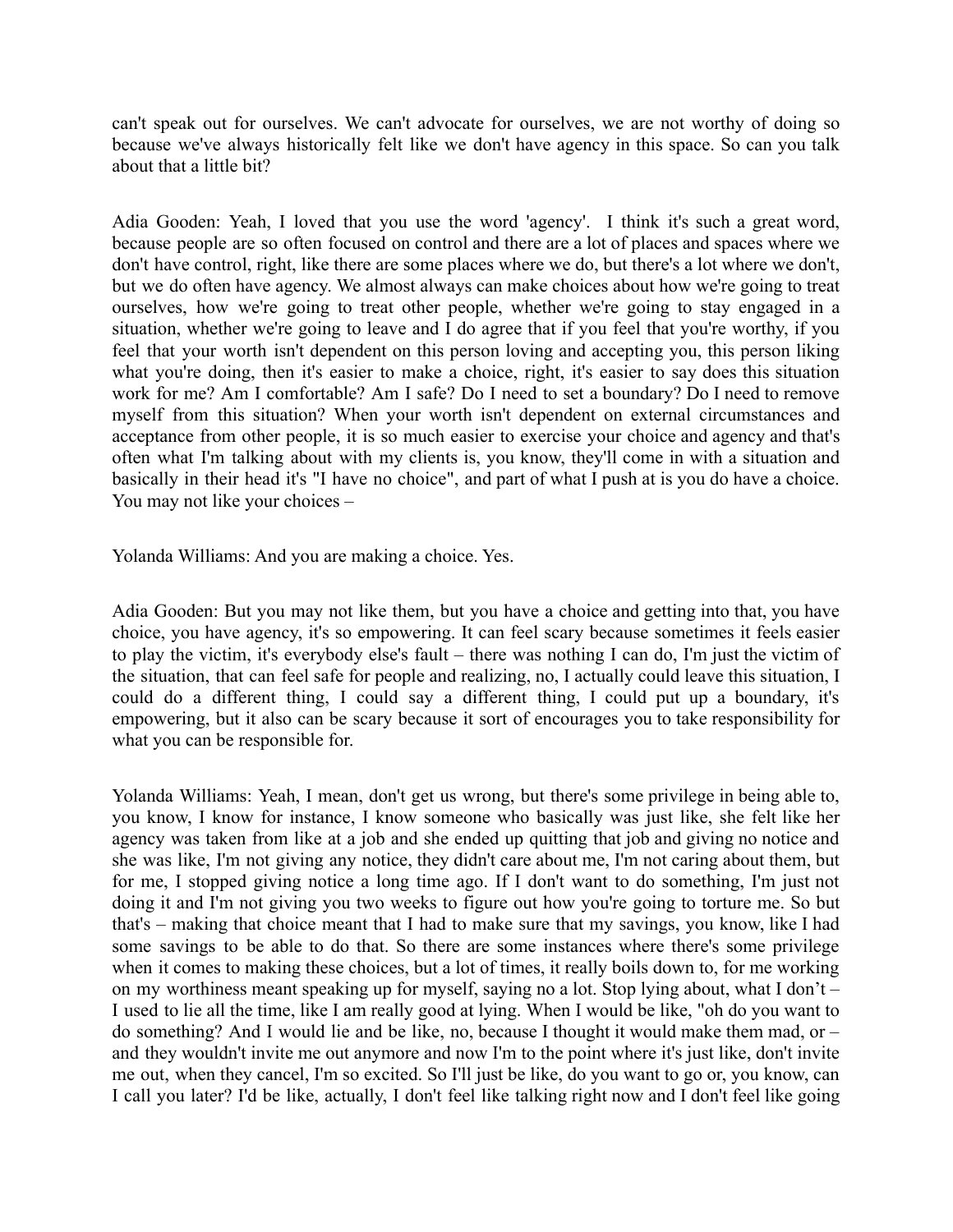can't speak out for ourselves. We can't advocate for ourselves, we are not worthy of doing so because we've always historically felt like we don't have agency in this space. So can you talk about that a little bit?

Adia Gooden: Yeah, I loved that you use the word 'agency'. I think it's such a great word, because people are so often focused on control and there are a lot of places and spaces where we don't have control, right, like there are some places where we do, but there's a lot where we don't, but we do often have agency. We almost always can make choices about how we're going to treat ourselves, how we're going to treat other people, whether we're going to stay engaged in a situation, whether we're going to leave and I do agree that if you feel that you're worthy, if you feel that your worth isn't dependent on this person loving and accepting you, this person liking what you're doing, then it's easier to make a choice, right, it's easier to say does this situation work for me? Am I comfortable? Am I safe? Do I need to set a boundary? Do I need to remove myself from this situation? When your worth isn't dependent on external circumstances and acceptance from other people, it is so much easier to exercise your choice and agency and that's often what I'm talking about with my clients is, you know, they'll come in with a situation and basically in their head it's "I have no choice", and part of what I push at is you do have a choice. You may not like your choices –

Yolanda Williams: And you are making a choice. Yes.

Adia Gooden: But you may not like them, but you have a choice and getting into that, you have choice, you have agency, it's so empowering. It can feel scary because sometimes it feels easier to play the victim, it's everybody else's fault – there was nothing I can do, I'm just the victim of the situation, that can feel safe for people and realizing, no, I actually could leave this situation, I could do a different thing, I could say a different thing, I could put up a boundary, it's empowering, but it also can be scary because it sort of encourages you to take responsibility for what you can be responsible for.

Yolanda Williams: Yeah, I mean, don't get us wrong, but there's some privilege in being able to, you know, I know for instance, I know someone who basically was just like, she felt like her agency was taken from like at a job and she ended up quitting that job and giving no notice and she was like, I'm not giving any notice, they didn't care about me, I'm not caring about them, but for me, I stopped giving notice a long time ago. If I don't want to do something, I'm just not doing it and I'm not giving you two weeks to figure out how you're going to torture me. So but that's – making that choice meant that I had to make sure that my savings, you know, like I had some savings to be able to do that. So there are some instances where there's some privilege when it comes to making these choices, but a lot of times, it really boils down to, for me working on my worthiness meant speaking up for myself, saying no a lot. Stop lying about, what I don't – I used to lie all the time, like I am really good at lying. When I would be like, "oh do you want to do something? And I would lie and be like, no, because I thought it would make them mad, or – and they wouldn't invite me out anymore and now I'm to the point where it's just like, don't invite me out, when they cancel, I'm so excited. So I'll just be like, do you want to go or, you know, can I call you later? I'd be like, actually, I don't feel like talking right now and I don't feel like going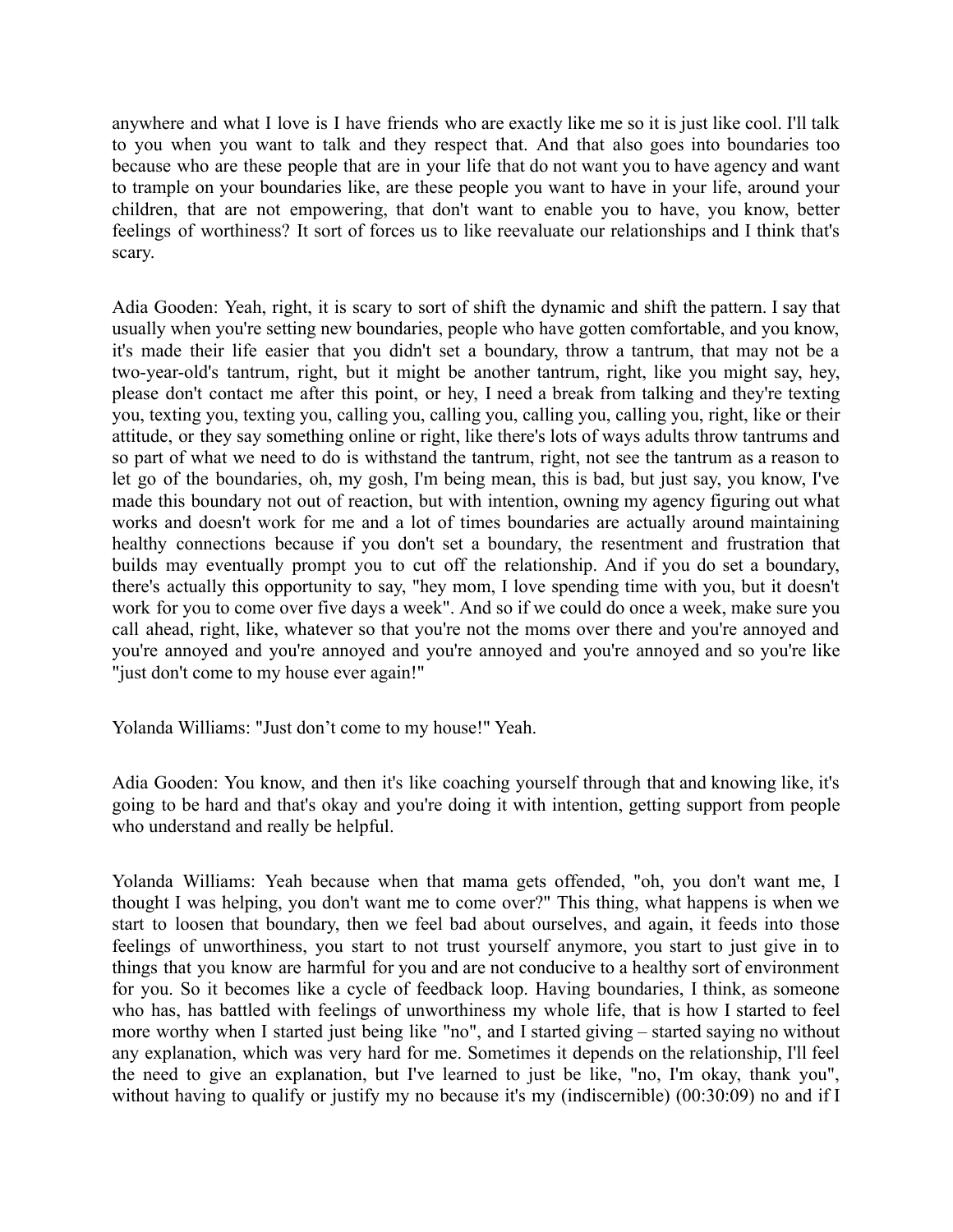anywhere and what I love is I have friends who are exactly like me so it is just like cool. I'll talk to you when you want to talk and they respect that. And that also goes into boundaries too because who are these people that are in your life that do not want you to have agency and want to trample on your boundaries like, are these people you want to have in your life, around your children, that are not empowering, that don't want to enable you to have, you know, better feelings of worthiness? It sort of forces us to like reevaluate our relationships and I think that's scary.

Adia Gooden: Yeah, right, it is scary to sort of shift the dynamic and shift the pattern. I say that usually when you're setting new boundaries, people who have gotten comfortable, and you know, it's made their life easier that you didn't set a boundary, throw a tantrum, that may not be a two-year-old's tantrum, right, but it might be another tantrum, right, like you might say, hey, please don't contact me after this point, or hey, I need a break from talking and they're texting you, texting you, texting you, calling you, calling you, calling you, calling you, right, like or their attitude, or they say something online or right, like there's lots of ways adults throw tantrums and so part of what we need to do is withstand the tantrum, right, not see the tantrum as a reason to let go of the boundaries, oh, my gosh, I'm being mean, this is bad, but just say, you know, I've made this boundary not out of reaction, but with intention, owning my agency figuring out what works and doesn't work for me and a lot of times boundaries are actually around maintaining healthy connections because if you don't set a boundary, the resentment and frustration that builds may eventually prompt you to cut off the relationship. And if you do set a boundary, there's actually this opportunity to say, "hey mom, I love spending time with you, but it doesn't work for you to come over five days a week". And so if we could do once a week, make sure you call ahead, right, like, whatever so that you're not the moms over there and you're annoyed and you're annoyed and you're annoyed and you're annoyed and you're annoyed and so you're like "just don't come to my house ever again!"

Yolanda Williams: "Just don't come to my house!" Yeah.

Adia Gooden: You know, and then it's like coaching yourself through that and knowing like, it's going to be hard and that's okay and you're doing it with intention, getting support from people who understand and really be helpful.

Yolanda Williams: Yeah because when that mama gets offended, "oh, you don't want me, I thought I was helping, you don't want me to come over?" This thing, what happens is when we start to loosen that boundary, then we feel bad about ourselves, and again, it feeds into those feelings of unworthiness, you start to not trust yourself anymore, you start to just give in to things that you know are harmful for you and are not conducive to a healthy sort of environment for you. So it becomes like a cycle of feedback loop. Having boundaries, I think, as someone who has, has battled with feelings of unworthiness my whole life, that is how I started to feel more worthy when I started just being like "no", and I started giving – started saying no without any explanation, which was very hard for me. Sometimes it depends on the relationship, I'll feel the need to give an explanation, but I've learned to just be like, "no, I'm okay, thank you", without having to qualify or justify my no because it's my (indiscernible) (00:30:09) no and if I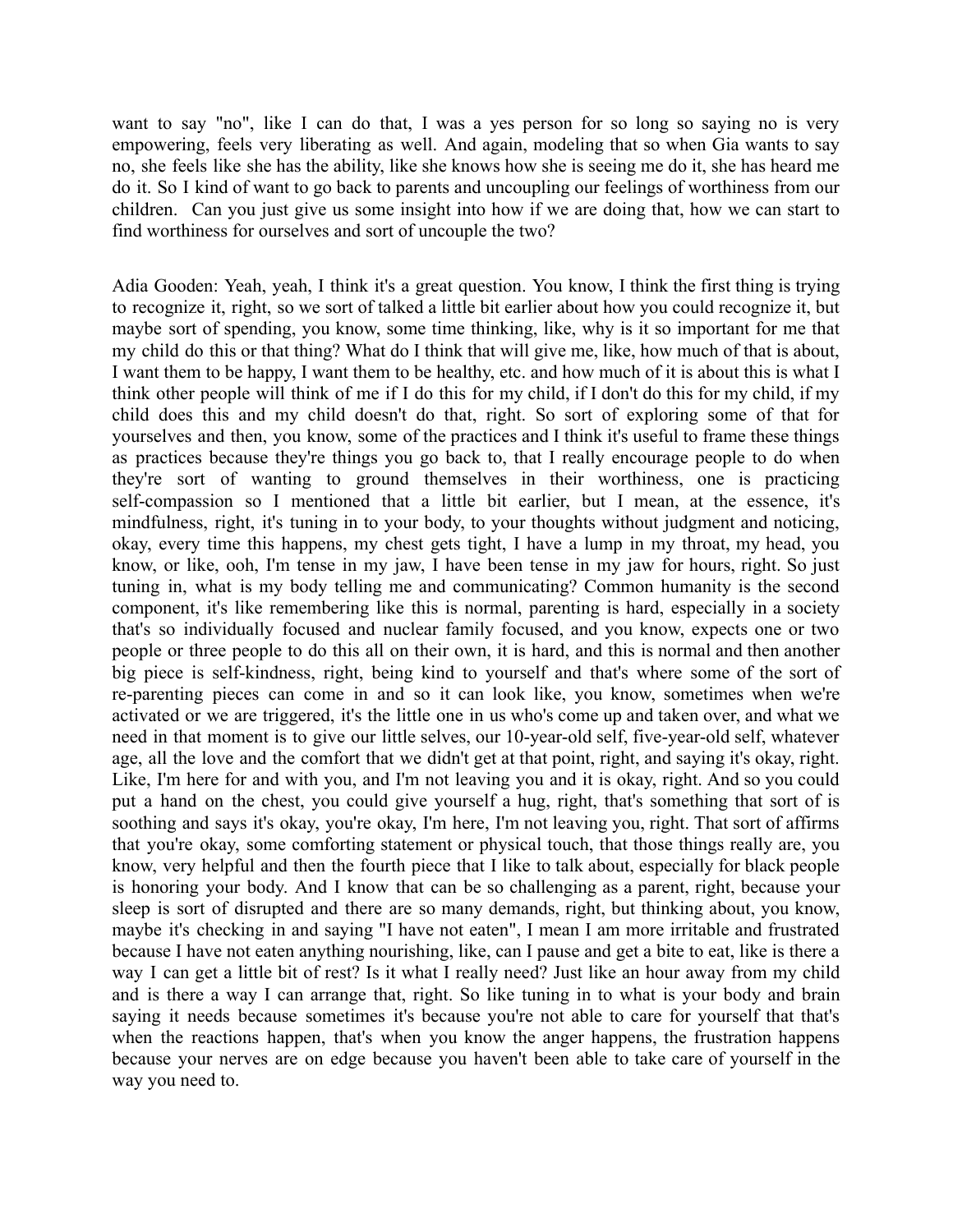want to say "no", like I can do that, I was a yes person for so long so saying no is very empowering, feels very liberating as well. And again, modeling that so when Gia wants to say no, she feels like she has the ability, like she knows how she is seeing me do it, she has heard me do it. So I kind of want to go back to parents and uncoupling our feelings of worthiness from our children. Can you just give us some insight into how if we are doing that, how we can start to find worthiness for ourselves and sort of uncouple the two?

Adia Gooden: Yeah, yeah, I think it's a great question. You know, I think the first thing is trying to recognize it, right, so we sort of talked a little bit earlier about how you could recognize it, but maybe sort of spending, you know, some time thinking, like, why is it so important for me that my child do this or that thing? What do I think that will give me, like, how much of that is about, I want them to be happy, I want them to be healthy, etc. and how much of it is about this is what I think other people will think of me if I do this for my child, if I don't do this for my child, if my child does this and my child doesn't do that, right. So sort of exploring some of that for yourselves and then, you know, some of the practices and I think it's useful to frame these things as practices because they're things you go back to, that I really encourage people to do when they're sort of wanting to ground themselves in their worthiness, one is practicing self-compassion so I mentioned that a little bit earlier, but I mean, at the essence, it's mindfulness, right, it's tuning in to your body, to your thoughts without judgment and noticing, okay, every time this happens, my chest gets tight, I have a lump in my throat, my head, you know, or like, ooh, I'm tense in my jaw, I have been tense in my jaw for hours, right. So just tuning in, what is my body telling me and communicating? Common humanity is the second component, it's like remembering like this is normal, parenting is hard, especially in a society that's so individually focused and nuclear family focused, and you know, expects one or two people or three people to do this all on their own, it is hard, and this is normal and then another big piece is self-kindness, right, being kind to yourself and that's where some of the sort of re-parenting pieces can come in and so it can look like, you know, sometimes when we're activated or we are triggered, it's the little one in us who's come up and taken over, and what we need in that moment is to give our little selves, our 10-year-old self, five-year-old self, whatever age, all the love and the comfort that we didn't get at that point, right, and saying it's okay, right. Like, I'm here for and with you, and I'm not leaving you and it is okay, right. And so you could put a hand on the chest, you could give yourself a hug, right, that's something that sort of is soothing and says it's okay, you're okay, I'm here, I'm not leaving you, right. That sort of affirms that you're okay, some comforting statement or physical touch, that those things really are, you know, very helpful and then the fourth piece that I like to talk about, especially for black people is honoring your body. And I know that can be so challenging as a parent, right, because your sleep is sort of disrupted and there are so many demands, right, but thinking about, you know, maybe it's checking in and saying "I have not eaten", I mean I am more irritable and frustrated because I have not eaten anything nourishing, like, can I pause and get a bite to eat, like is there a way I can get a little bit of rest? Is it what I really need? Just like an hour away from my child and is there a way I can arrange that, right. So like tuning in to what is your body and brain saying it needs because sometimes it's because you're not able to care for yourself that that's when the reactions happen, that's when you know the anger happens, the frustration happens because your nerves are on edge because you haven't been able to take care of yourself in the way you need to.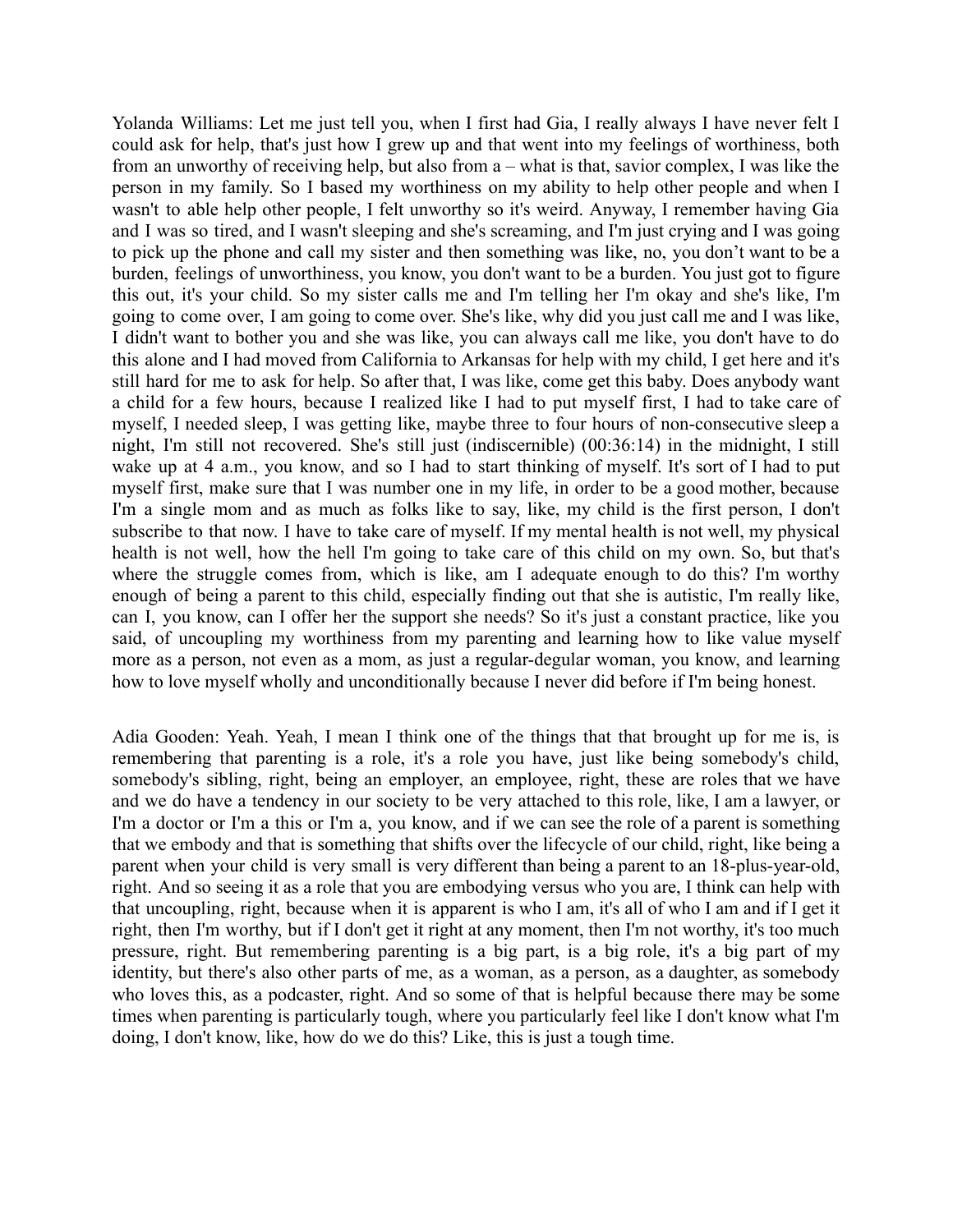Yolanda Williams: Let me just tell you, when I first had Gia, I really always I have never felt I could ask for help, that's just how I grew up and that went into my feelings of worthiness, both from an unworthy of receiving help, but also from a – what is that, savior complex, I was like the person in my family. So I based my worthiness on my ability to help other people and when I wasn't to able help other people, I felt unworthy so it's weird. Anyway, I remember having Gia and I was so tired, and I wasn't sleeping and she's screaming, and I'm just crying and I was going to pick up the phone and call my sister and then something was like, no, you don't want to be a burden, feelings of unworthiness, you know, you don't want to be a burden. You just got to figure this out, it's your child. So my sister calls me and I'm telling her I'm okay and she's like, I'm going to come over, I am going to come over. She's like, why did you just call me and I was like, I didn't want to bother you and she was like, you can always call me like, you don't have to do this alone and I had moved from California to Arkansas for help with my child, I get here and it's still hard for me to ask for help. So after that, I was like, come get this baby. Does anybody want a child for a few hours, because I realized like I had to put myself first, I had to take care of myself, I needed sleep, I was getting like, maybe three to four hours of non-consecutive sleep a night, I'm still not recovered. She's still just (indiscernible) (00:36:14) in the midnight, I still wake up at 4 a.m., you know, and so I had to start thinking of myself. It's sort of I had to put myself first, make sure that I was number one in my life, in order to be a good mother, because I'm a single mom and as much as folks like to say, like, my child is the first person, I don't subscribe to that now. I have to take care of myself. If my mental health is not well, my physical health is not well, how the hell I'm going to take care of this child on my own. So, but that's where the struggle comes from, which is like, am I adequate enough to do this? I'm worthy enough of being a parent to this child, especially finding out that she is autistic, I'm really like, can I, you know, can I offer her the support she needs? So it's just a constant practice, like you said, of uncoupling my worthiness from my parenting and learning how to like value myself more as a person, not even as a mom, as just a regular-degular woman, you know, and learning how to love myself wholly and unconditionally because I never did before if I'm being honest.

Adia Gooden: Yeah. Yeah, I mean I think one of the things that that brought up for me is, is remembering that parenting is a role, it's a role you have, just like being somebody's child, somebody's sibling, right, being an employer, an employee, right, these are roles that we have and we do have a tendency in our society to be very attached to this role, like, I am a lawyer, or I'm a doctor or I'm a this or I'm a, you know, and if we can see the role of a parent is something that we embody and that is something that shifts over the lifecycle of our child, right, like being a parent when your child is very small is very different than being a parent to an 18-plus-year-old, right. And so seeing it as a role that you are embodying versus who you are, I think can help with that uncoupling, right, because when it is apparent is who I am, it's all of who I am and if I get it right, then I'm worthy, but if I don't get it right at any moment, then I'm not worthy, it's too much pressure, right. But remembering parenting is a big part, is a big role, it's a big part of my identity, but there's also other parts of me, as a woman, as a person, as a daughter, as somebody who loves this, as a podcaster, right. And so some of that is helpful because there may be some times when parenting is particularly tough, where you particularly feel like I don't know what I'm doing, I don't know, like, how do we do this? Like, this is just a tough time.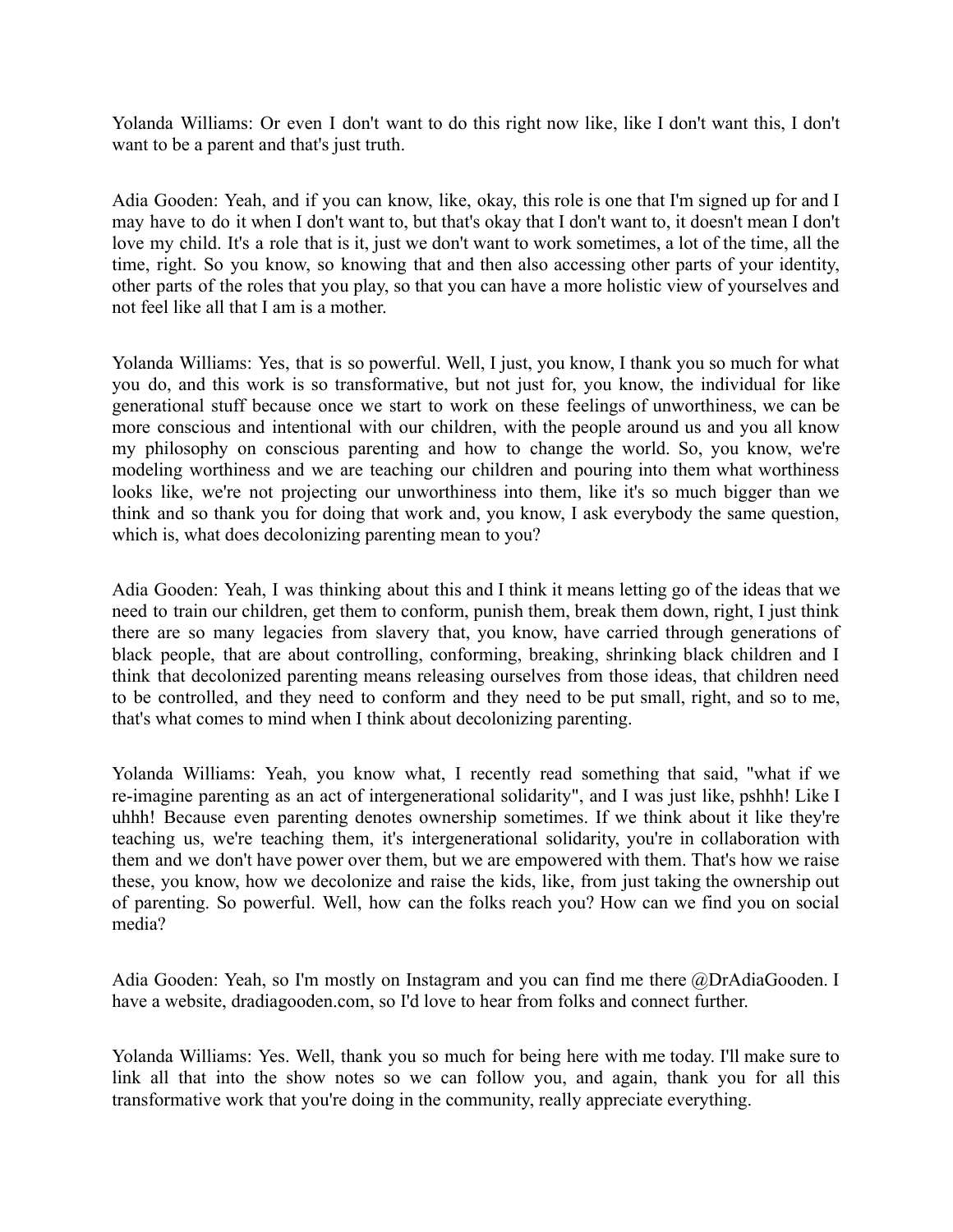Yolanda Williams: Or even I don't want to do this right now like, like I don't want this, I don't want to be a parent and that's just truth.

Adia Gooden: Yeah, and if you can know, like, okay, this role is one that I'm signed up for and I may have to do it when I don't want to, but that's okay that I don't want to, it doesn't mean I don't love my child. It's a role that is it, just we don't want to work sometimes, a lot of the time, all the time, right. So you know, so knowing that and then also accessing other parts of your identity, other parts of the roles that you play, so that you can have a more holistic view of yourselves and not feel like all that I am is a mother.

Yolanda Williams: Yes, that is so powerful. Well, I just, you know, I thank you so much for what you do, and this work is so transformative, but not just for, you know, the individual for like generational stuff because once we start to work on these feelings of unworthiness, we can be more conscious and intentional with our children, with the people around us and you all know my philosophy on conscious parenting and how to change the world. So, you know, we're modeling worthiness and we are teaching our children and pouring into them what worthiness looks like, we're not projecting our unworthiness into them, like it's so much bigger than we think and so thank you for doing that work and, you know, I ask everybody the same question, which is, what does decolonizing parenting mean to you?

Adia Gooden: Yeah, I was thinking about this and I think it means letting go of the ideas that we need to train our children, get them to conform, punish them, break them down, right, I just think there are so many legacies from slavery that, you know, have carried through generations of black people, that are about controlling, conforming, breaking, shrinking black children and I think that decolonized parenting means releasing ourselves from those ideas, that children need to be controlled, and they need to conform and they need to be put small, right, and so to me, that's what comes to mind when I think about decolonizing parenting.

Yolanda Williams: Yeah, you know what, I recently read something that said, "what if we re-imagine parenting as an act of intergenerational solidarity", and I was just like, pshhh! Like I uhhh! Because even parenting denotes ownership sometimes. If we think about it like they're teaching us, we're teaching them, it's intergenerational solidarity, you're in collaboration with them and we don't have power over them, but we are empowered with them. That's how we raise these, you know, how we decolonize and raise the kids, like, from just taking the ownership out of parenting. So powerful. Well, how can the folks reach you? How can we find you on social media?

Adia Gooden: Yeah, so I'm mostly on Instagram and you can find me there @DrAdiaGooden. I have a website, dradiagooden.com, so I'd love to hear from folks and connect further.

Yolanda Williams: Yes. Well, thank you so much for being here with me today. I'll make sure to link all that into the show notes so we can follow you, and again, thank you for all this transformative work that you're doing in the community, really appreciate everything.